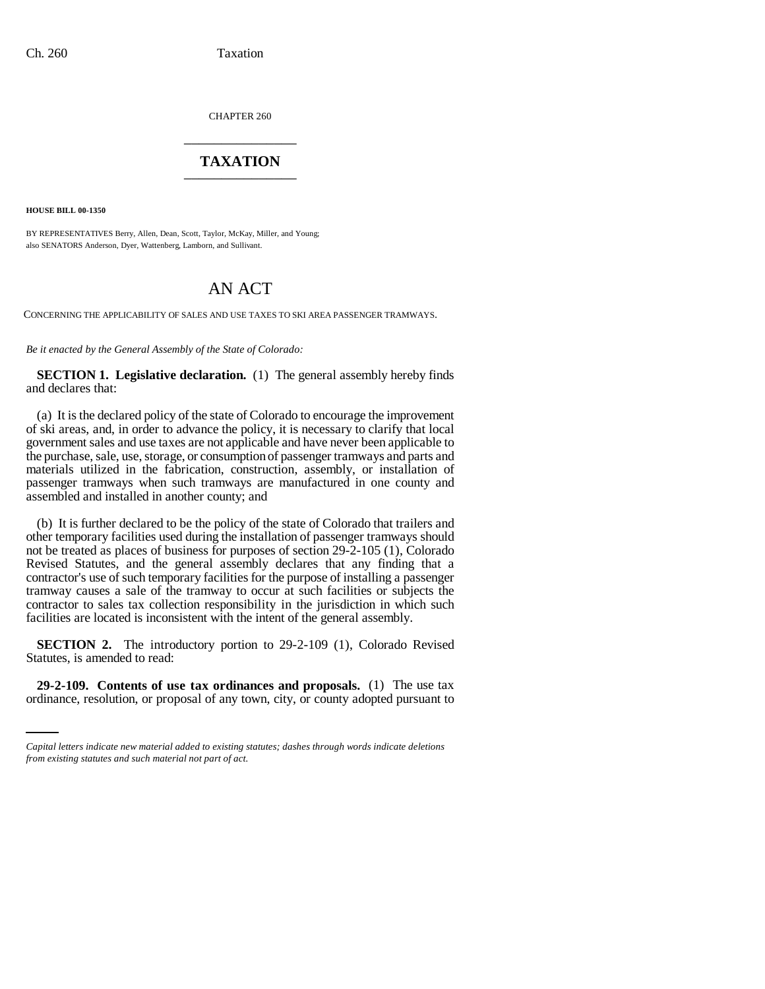CHAPTER 260 \_\_\_\_\_\_\_\_\_\_\_\_\_\_\_

## **TAXATION** \_\_\_\_\_\_\_\_\_\_\_\_\_\_\_

**HOUSE BILL 00-1350** 

BY REPRESENTATIVES Berry, Allen, Dean, Scott, Taylor, McKay, Miller, and Young; also SENATORS Anderson, Dyer, Wattenberg, Lamborn, and Sullivant.

## AN ACT

CONCERNING THE APPLICABILITY OF SALES AND USE TAXES TO SKI AREA PASSENGER TRAMWAYS.

*Be it enacted by the General Assembly of the State of Colorado:*

**SECTION 1. Legislative declaration.** (1) The general assembly hereby finds and declares that:

(a) It is the declared policy of the state of Colorado to encourage the improvement of ski areas, and, in order to advance the policy, it is necessary to clarify that local government sales and use taxes are not applicable and have never been applicable to the purchase, sale, use, storage, or consumption of passenger tramways and parts and materials utilized in the fabrication, construction, assembly, or installation of passenger tramways when such tramways are manufactured in one county and assembled and installed in another county; and

(b) It is further declared to be the policy of the state of Colorado that trailers and other temporary facilities used during the installation of passenger tramways should not be treated as places of business for purposes of section 29-2-105 (1), Colorado Revised Statutes, and the general assembly declares that any finding that a contractor's use of such temporary facilities for the purpose of installing a passenger tramway causes a sale of the tramway to occur at such facilities or subjects the contractor to sales tax collection responsibility in the jurisdiction in which such facilities are located is inconsistent with the intent of the general assembly.

Statutes, is amended to read: **SECTION 2.** The introductory portion to 29-2-109 (1), Colorado Revised

**29-2-109. Contents of use tax ordinances and proposals.** (1) The use tax ordinance, resolution, or proposal of any town, city, or county adopted pursuant to

*Capital letters indicate new material added to existing statutes; dashes through words indicate deletions from existing statutes and such material not part of act.*